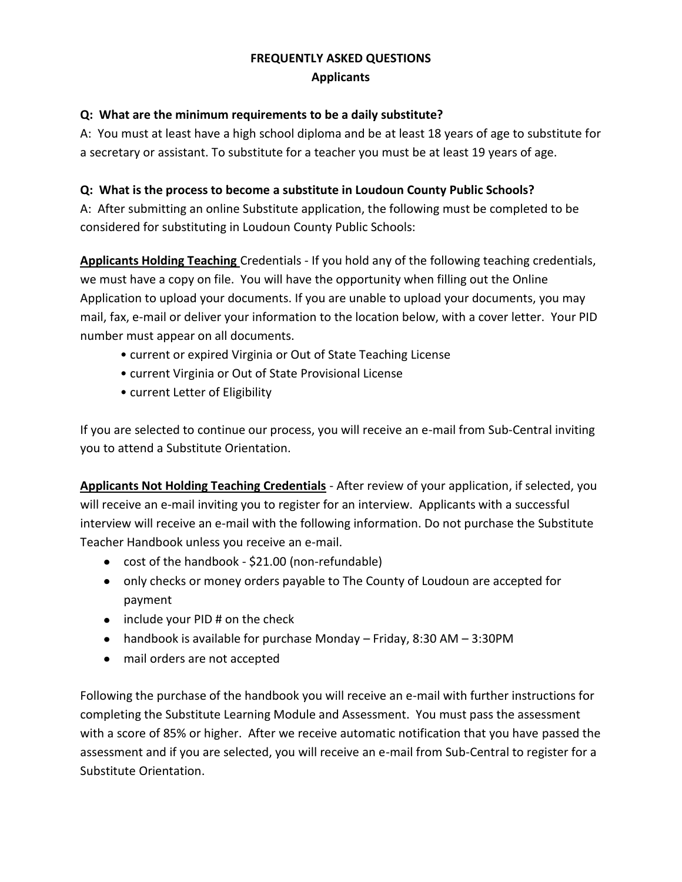# **FREQUENTLY ASKED QUESTIONS Applicants**

#### **Q: What are the minimum requirements to be a daily substitute?**

A: You must at least have a high school diploma and be at least 18 years of age to substitute for a secretary or assistant. To substitute for a teacher you must be at least 19 years of age.

#### **Q: What is the process to become a substitute in Loudoun County Public Schools?**

A: After submitting an online Substitute application, the following must be completed to be considered for substituting in Loudoun County Public Schools:

**Applicants Holding Teaching** Credentials - If you hold any of the following teaching credentials, we must have a copy on file. You will have the opportunity when filling out the Online Application to upload your documents. If you are unable to upload your documents, you may mail, fax, e-mail or deliver your information to the location below, with a cover letter. Your PID number must appear on all documents.

- current or expired Virginia or Out of State Teaching License
- current Virginia or Out of State Provisional License
- current Letter of Eligibility

If you are selected to continue our process, you will receive an e-mail from Sub-Central inviting you to attend a Substitute Orientation.

**Applicants Not Holding Teaching Credentials** - After review of your application, if selected, you will receive an e-mail inviting you to register for an interview. Applicants with a successful interview will receive an e-mail with the following information. Do not purchase the Substitute Teacher Handbook unless you receive an e-mail.

- cost of the handbook \$21.00 (non-refundable)
- only checks or money orders payable to The County of Loudoun are accepted for payment
- $\bullet$  include your PID # on the check
- handbook is available for purchase Monday Friday, 8:30 AM 3:30PM
- mail orders are not accepted

Following the purchase of the handbook you will receive an e-mail with further instructions for completing the Substitute Learning Module and Assessment. You must pass the assessment with a score of 85% or higher. After we receive automatic notification that you have passed the assessment and if you are selected, you will receive an e-mail from Sub-Central to register for a Substitute Orientation.